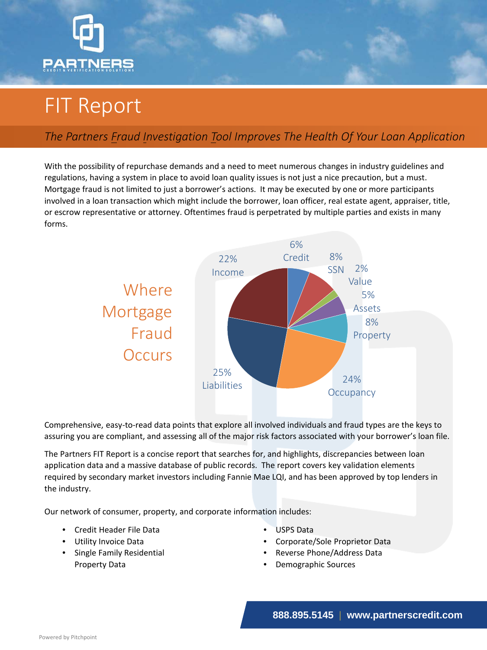

## FIT Report

## *The Partners Fraud Investigation Tool Improves The Health Of Your Loan Application*

With the possibility of repurchase demands and a need to meet numerous changes in industry guidelines and regulations, having a system in place to avoid loan quality issues is not just a nice precaution, but a must. Mortgage fraud is not limited to just a borrower's actions. It may be executed by one or more participants involved in a loan transaction which might include the borrower, loan officer, real estate agent, appraiser, title, or escrow representative or attorney. Oftentimes fraud is perpetrated by multiple parties and exists in many forms.



Comprehensive, easy-to-read data points that explore all involved individuals and fraud types are the keys to assuring you are compliant, and assessing all of the major risk factors associated with your borrower's loan file.

The Partners FIT Report is a concise report that searches for, and highlights, discrepancies between loan application data and a massive database of public records. The report covers key validation elements required by secondary market investors including Fannie Mae LQI, and has been approved by top lenders in the industry.

Our network of consumer, property, and corporate information includes:

- Credit Header File Data
- Utility Invoice Data
- Single Family Residential Property Data
- USPS Data
- Corporate/Sole Proprietor Data
- Reverse Phone/Address Data
- Demographic Sources